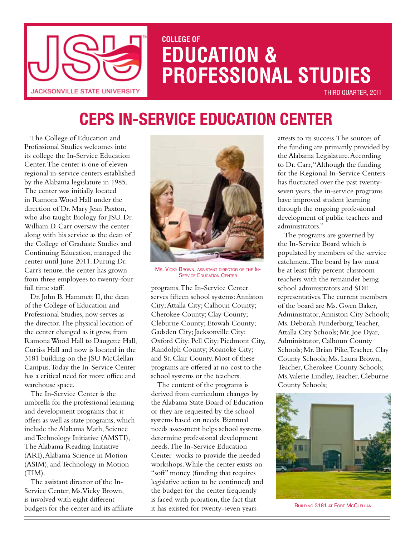

## **COLLEGE OF EDUCATION & PROFESSIONAL STUDIES**

Third Quarter, 2011

# **CEPS In-Service Education Center**

The College of Education and Professional Studies welcomes into its college the In-Service Education Center. The center is one of eleven regional in-service centers established by the Alabama legislature in 1985. The center was initially located in Ramona Wood Hall under the direction of Dr. Mary Jean Paxton, who also taught Biology for JSU. Dr. William D. Carr oversaw the center along with his service as the dean of the College of Graduate Studies and Continuing Education, managed the center until June 2011. During Dr. Carr's tenure, the center has grown from three employees to twenty-four full time staff.

Dr. John B. Hammett II, the dean of the College of Education and Professional Studies, now serves as the director. The physical location of the center changed as it grew, from Ramona Wood Hall to Daugette Hall, Curtiss Hall and now is located in the 3181 building on the JSU McClellan Campus. Today the In-Service Center has a critical need for more office and warehouse space.

The In-Service Center is the umbrella for the professional learning and development programs that it offers as well as state programs, which include the Alabama Math, Science and Technology Initiative (AMSTI), The Alabama Reading Initiative (ARI), Alabama Science in Motion (ASIM), and Technology in Motion (TIM).

The assistant director of the In-Service Center, Ms. Vicky Brown, is involved with eight different budgets for the center and its affiliate



Ms. Vicky Brown, assistant director of the In-**SERVICE EDUCATION CENTER** 

programs. The In-Service Center serves fifteen school systems: Anniston City; Attalla City; Calhoun County; Cherokee County; Clay County; Cleburne County; Etowah County; Gadsden City; Jacksonville City; Oxford City; Pell City; Piedmont City, Randolph County; Roanoke City; and St. Clair County. Most of these programs are offered at no cost to the school systems or the teachers.

The content of the programs is derived from curriculum changes by the Alabama State Board of Education or they are requested by the school systems based on needs. Biannual needs assessment helps school systems determine professional development needs. The In-Service Education Center works to provide the needed workshops. While the center exists on "soft" money (funding that requires legislative action to be continued) and the budget for the center frequently is faced with proration, the fact that it has existed for twenty-seven years

attests to its success. The sources of the funding are primarily provided by the Alabama Legislature. According to Dr. Carr, "Although the funding for the Regional In-Service Centers has fluctuated over the past twentyseven years, the in-service programs have improved student learning through the ongoing professional development of public teachers and administrators."

The programs are governed by the In-Service Board which is populated by members of the service catchment. The board by law must be at least fifty percent classroom teachers with the remainder being school administrators and SDE representatives. The current members of the board are Ms. Gwen Baker, Administrator, Anniston City Schools; Ms. Deborah Funderburg, Teacher, Attalla City Schools; Mr. Joe Dyar, Administrator, Calhoun County Schools; Mr. Brian Pike, Teacher, Clay County Schools; Ms. Laura Brown, Teacher, Cherokee County Schools; Ms. Valerie Lindley, Teacher, Cleburne County Schools;



BUILDING 3181 AT FORT MCCLELLAN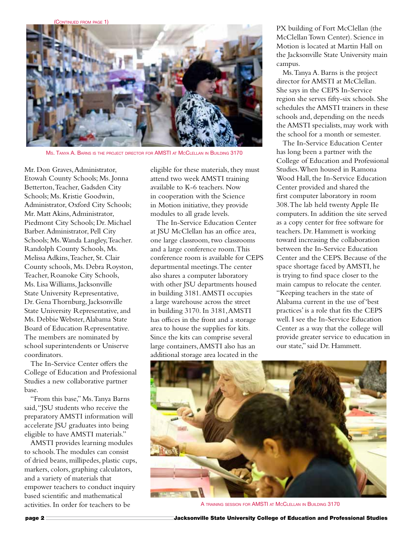(Continued from page 1)



Ms. Tanya A. Barns is the project director for AMSTI at McClellan in Building 3170

Mr. Don Graves, Administrator, Etowah County Schools; Ms. Jonna Betterton, Teacher, Gadsden City Schools; Ms. Kristie Goodwin, Administrator, Oxford City Schools; Mr. Matt Akins, Administrator, Piedmont City Schools; Dr. Michael Barber. Administrator, Pell City Schools; Ms. Wanda Langley, Teacher. Randolph County Schools, Ms. Melissa Adkins, Teacher, St. Clair County schools, Ms. Debra Royston, Teacher, Roanoke City Schools, Ms. Lisa Williams, Jacksonville State University Representative, Dr. Gena Thornburg, Jacksonville State University Representative, and Ms. Debbie Webster, Alabama State Board of Education Representative. The members are nominated by school superintendents or Uniserve coordinators.

The In-Service Center offers the College of Education and Professional Studies a new collaborative partner base.

"From this base," Ms. Tanya Barns said, "JSU students who receive the preparatory AMSTI information will accelerate JSU graduates into being eligible to have AMSTI materials."

AMSTI provides learning modules to schools. The modules can consist of dried beans, millipedes, plastic cups, markers, colors, graphing calculators, and a variety of materials that empower teachers to conduct inquiry based scientific and mathematical activities. In order for teachers to be

eligible for these materials, they must attend two week AMSTI training available to K-6 teachers. Now in cooperation with the Science in Motion initiative, they provide modules to all grade levels.

The In-Service Education Center at JSU McClellan has an office area, one large classroom, two classrooms and a large conference room. This conference room is available for CEPS departmental meetings. The center also shares a computer laboratory with other JSU departments housed in building 3181. AMSTI occupies a large warehouse across the street in building 3170. In 3181, AMSTI has offices in the front and a storage area to house the supplies for kits. Since the kits can comprise several large containers, AMSTI also has an additional storage area located in the

PX building of Fort McClellan (the McClellan Town Center). Science in Motion is located at Martin Hall on the Jacksonville State University main campus.

Ms. Tanya A. Barns is the project director for AMSTI at McClellan. She says in the CEPS In-Service region she serves fifty-six schools. She schedules the AMSTI trainers in these schools and, depending on the needs the AMSTI specialists, may work with the school for a month or semester.

The In-Service Education Center has long been a partner with the College of Education and Professional Studies. When housed in Ramona Wood Hall, the In-Service Education Center provided and shared the first computer laboratory in room 308. The lab held twenty Apple IIe computers. In addition the site served as a copy center for free software for teachers. Dr. Hammett is working toward increasing the collaboration between the In-Service Education Center and the CEPS. Because of the space shortage faced by AMSTI, he is trying to find space closer to the main campus to relocate the center. "Keeping teachers in the state of Alabama current in the use of 'best practices' is a role that fits the CEPS well. I see the In-Service Education Center as a way that the college will provide greater service to education in our state," said Dr. Hammett.



A training session for AMSTI at McClellan in Building 3170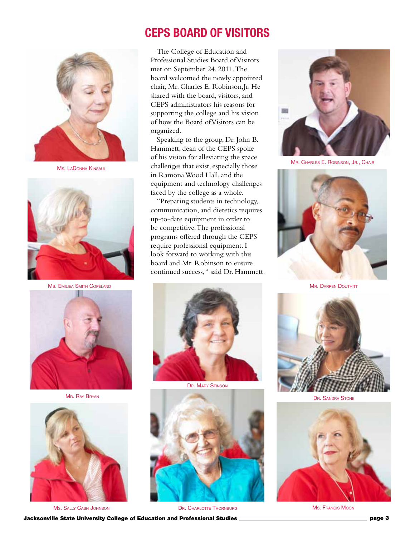

Ms. LaDonna Kinsaul





Mr. Ray Bryan



**Ms. SALLY CASH JOHNSON** 

### **CEPS Board of Visitors**

The College of Education and Professional Studies Board of Visitors met on September 24, 2011. The board welcomed the newly appointed chair, Mr. Charles E. Robinson,Jr. He shared with the board, visitors, and CEPS administrators his reasons for supporting the college and his vision of how the Board of Visitors can be organized.

Speaking to the group, Dr. John B. Hammett, dean of the CEPS spoke of his vision for alleviating the space challenges that exist, especially those in Ramona Wood Hall, and the equipment and technology challenges faced by the college as a whole.

"Preparing students in technology, communication, and dietetics requires up-to-date equipment in order to be competitive. The professional programs offered through the CEPS require professional equipment. I look forward to working with this board and Mr. Robinson to ensure continued success, " said Dr. Hammett.



DR. MARY STINSON



DR. CHARLOTTE THORNBURG



Mr. Charles E. Robinson, Jr., Chair





Ms. Francis Moon

Jacksonville State University College of Education and Professional Studies page 3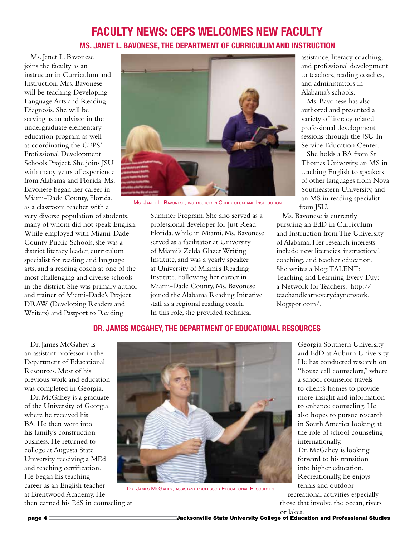### **Faculty News: CEPS Welcomes New faculty Ms. Janet L. Bavonese, the Department of Curriculum and Instruction**

Ms. Janet L. Bavonese joins the faculty as an instructor in Curriculum and Instruction. Mrs. Bavonese will be teaching Developing Language Arts and Reading Diagnosis. She will be serving as an advisor in the undergraduate elementary education program as well as coordinating the CEPS' Professional Development Schools Project. She joins JSU with many years of experience from Alabama and Florida. Ms. Bavonese began her career in Miami-Dade County, Florida, as a classroom teacher with a very diverse population of students, many of whom did not speak English. While employed with Miami-Dade County Public Schools, she was a

district literacy leader, curriculum specialist for reading and language arts, and a reading coach at one of the most challenging and diverse schools in the district. She was primary author and trainer of Miami-Dade's Project DRAW (Developing Readers and Writers) and Passport to Reading



Ms. Janet L. Bavonese, instructor in Curriculum and Instruction

Summer Program. She also served as a professional developer for Just Read! Florida. While in Miami, Ms. Bavonese served as a facilitator at University of Miami's Zelda Glazer Writing Institute, and was a yearly speaker at University of Miami's Reading Institute. Following her career in Miami-Dade County, Ms. Bavonese joined the Alabama Reading Initiative staff as a regional reading coach. In this role, she provided technical

assistance, literacy coaching, and professional development to teachers, reading coaches, and administrators in Alabama's schools.

Ms. Bavonese has also authored and presented a variety of literacy related professional development sessions through the JSU In-Service Education Center.

She holds a BA from St. Thomas University, an MS in teaching English to speakers of other languages from Nova Southeastern University, and an MS in reading specialist from JSU.

Ms. Bavonese is currently pursuing an EdD in Curriculum and Instruction from The University of Alabama. Her research interests include new literacies, instructional coaching, and teacher education. She writes a blog: TALENT: Teaching and Learning Every Day: a Network for Teachers.. http:// teachandlearneverydaynetwork. blogspot.com/.

#### **Dr. James McGahey, the Department of Educational Resources**

Dr. James McGahey is an assistant professor in the Department of Educational Resources. Most of his previous work and education was completed in Georgia.

Dr. McGahey is a graduate of the University of Georgia, where he received his BA. He then went into his family's construction business. He returned to college at Augusta State University receiving a MEd and teaching certification. He began his teaching career as an English teacher at Brentwood Academy. He then earned his EdS in counseling at



Dr. James McGahey, assistant professor Educational Resources

Georgia Southern University and EdD at Auburn University. He has conducted research on "house call counselors," where a school counselor travels to client's homes to provide more insight and information to enhance counseling. He also hopes to pursue research in South America looking at the role of school counseling internationally.

Dr. McGahey is looking forward to his transition into higher education. Recreationally, he enjoys tennis and outdoor recreational activities especially

those that involve the ocean, rivers or lakes.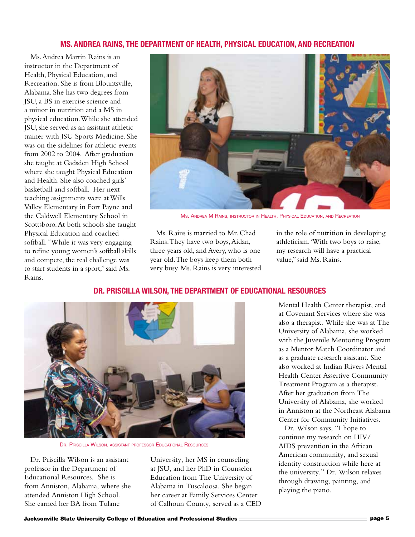#### **Ms. Andrea Rains, the Department of Health, Physical Education, and Recreation**

Ms. Andrea Martin Rains is an instructor in the Department of Health, Physical Education, and Recreation. She is from Blountsville, Alabama. She has two degrees from JSU, a BS in exercise science and a minor in nutrition and a MS in physical education. While she attended JSU, she served as an assistant athletic trainer with JSU Sports Medicine. She was on the sidelines for athletic events from 2002 to 2004. After graduation she taught at Gadsden High School where she taught Physical Education and Health. She also coached girls' basketball and softball. Her next teaching assignments were at Wills Valley Elementary in Fort Payne and the Caldwell Elementary School in Scottsboro. At both schools she taught Physical Education and coached softball. "While it was very engaging to refine young women's softball skills and compete, the real challenge was to start students in a sport," said Ms. Rains.



Ms. Andrea M Rains, instructor in Health, Physical Education, and Recreation

Ms. Rains is married to Mr. Chad Rains. They have two boys, Aidan, three years old, and Avery, who is one year old. The boys keep them both very busy. Ms. Rains is very interested in the role of nutrition in developing athleticism. 'With two boys to raise, my research will have a practical value," said Ms. Rains.

#### **Dr. Priscilla Wilson, the Department of Educational Resources**



Dr. Priscilla Wilson, assistant professor Educational Resources

Dr. Priscilla Wilson is an assistant professor in the Department of Educational Resources. She is from Anniston, Alabama, where she attended Anniston High School. She earned her BA from Tulane

University, her MS in counseling at JSU, and her PhD in Counselor Education from The University of Alabama in Tuscaloosa. She began her career at Family Services Center of Calhoun County, served as a CED Mental Health Center therapist, and at Covenant Services where she was also a therapist. While she was at The University of Alabama, she worked with the Juvenile Mentoring Program as a Mentor Match Coordinator and as a graduate research assistant. She also worked at Indian Rivers Mental Health Center Assertive Community Treatment Program as a therapist. After her graduation from The University of Alabama, she worked in Anniston at the Northeast Alabama Center for Community Initiatives.

Dr. Wilson says, "I hope to continue my research on HIV/ AIDS prevention in the African American community, and sexual identity construction while here at the university." Dr. Wilson relaxes through drawing, painting, and playing the piano.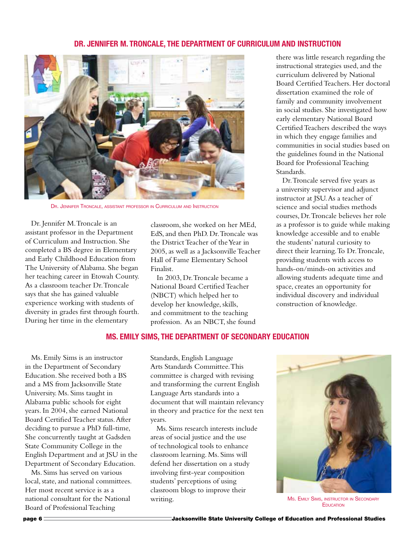#### **Dr. Jennifer m. Troncale, the Department of Curriculum and Instruction**



Dr. Jennifer Troncale, assistant professor in Curriculum and Instruction

Dr. Jennifer M. Troncale is an assistant professor in the Department of Curriculum and Instruction. She completed a BS degree in Elementary and Early Childhood Education from The University of Alabama. She began her teaching career in Etowah County. As a classroom teacher Dr. Troncale says that she has gained valuable experience working with students of diversity in grades first through fourth. During her time in the elementary

classroom, she worked on her MEd, EdS, and then PhD. Dr. Troncale was the District Teacher of the Year in 2005, as well as a Jacksonville Teacher Hall of Fame Elementary School Finalist.

In 2003, Dr. Troncale became a National Board Certified Teacher (NBCT) which helped her to develop her knowledge, skills, and commitment to the teaching profession. As an NBCT, she found there was little research regarding the instructional strategies used, and the curriculum delivered by National Board Certified Teachers. Her doctoral dissertation examined the role of family and community involvement in social studies. She investigated how early elementary National Board Certified Teachers described the ways in which they engage families and communities in social studies based on the guidelines found in the National Board for Professional Teaching Standards.

Dr. Troncale served five years as a university supervisor and adjunct instructor at JSU. As a teacher of science and social studies methods courses, Dr. Troncale believes her role as a professor is to guide while making knowledge accessible and to enable the students' natural curiosity to direct their learning. To Dr. Troncale, providing students with access to hands-on/minds-on activities and allowing students adequate time and space, creates an opportunity for individual discovery and individual construction of knowledge.

#### **Ms. Emily Sims, the Department of Secondary education**

Ms. Emily Sims is an instructor in the Department of Secondary Education. She received both a BS and a MS from Jacksonville State University. Ms. Sims taught in Alabama public schools for eight years. In 2004, she earned National Board Certified Teacher status. After deciding to pursue a PhD full-time, She concurrently taught at Gadsden State Community College in the English Department and at JSU in the Department of Secondary Education.

Ms. Sims has served on various local, state, and national committees. Her most recent service is as a national consultant for the National Board of Professional Teaching

Standards, English Language Arts Standards Committee. This committee is charged with revising and transforming the current English Language Arts standards into a document that will maintain relevancy in theory and practice for the next ten years.

Ms. Sims research interests include areas of social justice and the use of technological tools to enhance classroom learning. Ms. Sims will defend her dissertation on a study involving first-year composition students' perceptions of using classroom blogs to improve their WELLET WELL SIMS, INSTRUCTOR IN SECONDARY



**EDUCATION**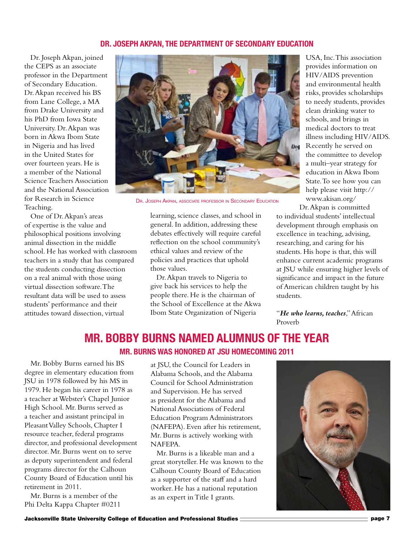#### **Dr. Joseph Akpan, the Department of Secondary education**

Dr. Joseph Akpan, joined the CEPS as an associate professor in the Department of Secondary Education. Dr. Akpan received his BS from Lane College, a MA from Drake University and his PhD from Iowa State University. Dr. Akpan was born in Akwa Ibom State in Nigeria and has lived in the United States for over fourteen years. He is a member of the National Science Teachers Association and the National Association for Research in Science Teaching.

One of Dr. Akpan's areas of expertise is the value and philosophical positions involving animal dissection in the middle school. He has worked with classroom teachers in a study that has compared the students conducting dissection on a real animal with those using virtual dissection software. The resultant data will be used to assess students' performance and their attitudes toward dissection, virtual



Dr. Joseph Akpan, associate professor in Secondary Education

learning, science classes, and school in general. In addition, addressing these debates effectively will require careful reflection on the school community's ethical values and review of the policies and practices that uphold those values.

Dr. Akpan travels to Nigeria to give back his services to help the people there. He is the chairman of the School of Excellence at the Akwa Ibom State Organization of Nigeria

USA, Inc. This association provides information on HIV/AIDS prevention and environmental health risks, provides scholarships to needy students, provides clean drinking water to schools, and brings in medical doctors to treat illness including HIV/AIDS. Recently he served on the committee to develop a multi–year strategy for education in Akwa Ibom State. To see how you can help please visit http:// www.akisan.org/

Dr. Akpan is committed to individual students' intellectual development through emphasis on excellence in teaching, advising, researching, and caring for his students. His hope is that, this will enhance current academic programs at JSU while ensuring higher levels of significance and impact in the future of American children taught by his students.

"*He who learns, teaches*," African Proverb

### **Mr. Bobby Burns Named Alumnus of the Year Mr. burns was honored at JSU Homecoming 2011**

Mr. Bobby Burns earned his BS degree in elementary education from JSU in 1978 followed by his MS in 1979. He began his career in 1978 as a teacher at Webster's Chapel Junior High School. Mr. Burns served as a teacher and assistant principal in Pleasant Valley Schools, Chapter I resource teacher, federal programs director, and professional development director. Mr. Burns went on to serve as deputy superintendent and federal programs director for the Calhoun County Board of Education until his retirement in 2011.

Mr. Burns is a member of the Phi Delta Kappa Chapter #0211 at JSU, the Council for Leaders in Alabama Schools, and the Alabama Council for School Administration and Supervision. He has served as president for the Alabama and National Associations of Federal Education Program Administrators (NAFEPA). Even after his retirement, Mr. Burns is actively working with NAFEPA.

Mr. Burns is a likeable man and a great storyteller. He was known to the Calhoun County Board of Education as a supporter of the staff and a hard worker. He has a national reputation as an expert in Title I grants.

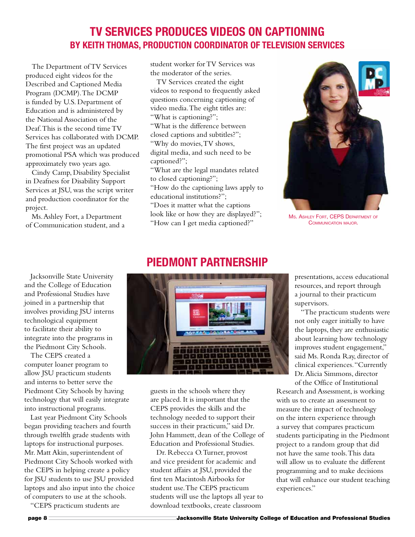### **TV Services Produces Videos on Captioning by Keith Thomas, Production coordinator of Television Services**

The Department of TV Services produced eight videos for the Described and Captioned Media Program (DCMP). The DCMP is funded by U.S. Department of Education and is administered by the National Association of the Deaf. This is the second time TV Services has collaborated with DCMP. The first project was an updated promotional PSA which was produced approximately two years ago.

Cindy Camp, Disability Specialist in Deafness for Disability Support Services at JSU, was the script writer and production coordinator for the project.

Ms. Ashley Fort, a Department of Communication student, and a

Jacksonville State University and the College of Education and Professional Studies have joined in a partnership that involves providing JSU interns technological equipment to facilitate their ability to integrate into the programs in the Piedmont City Schools.

The CEPS created a computer loaner program to allow JSU practicum students and interns to better serve the Piedmont City Schools by having technology that will easily integrate into instructional programs.

Last year Piedmont City Schools began providing teachers and fourth through twelfth grade students with laptops for instructional purposes. Mr. Matt Akin, superintendent of Piedmont City Schools worked with the CEPS in helping create a policy for JSU students to use JSU provided laptops and also input into the choice of computers to use at the schools.

"CEPS practicum students are

student worker for TV Services was the moderator of the series.

TV Services created the eight videos to respond to frequently asked questions concerning captioning of video media. The eight titles are: "What is captioning?";

"What is the difference between closed captions and subtitles?"; "Why do movies, TV shows, digital media, and such need to be captioned?";

"What are the legal mandates related to closed captioning?";

"How do the captioning laws apply to educational institutions?";

"Does it matter what the captions look like or how they are displayed?"; "How can I get media captioned?"



Ms. Ashley Fort, CEPS Department of COMMUNICATION MAJOR.

### **Piedmont Partnership**



guests in the schools where they are placed. It is important that the CEPS provides the skills and the technology needed to support their success in their practicum," said Dr. John Hammett, dean of the College of Education and Professional Studies.

Dr. Rebecca O. Turner, provost and vice president for academic and student affairs at JSU, provided the first ten Macintosh Airbooks for student use. The CEPS practicum students will use the laptops all year to download textbooks, create classroom

presentations, access educational resources, and report through a journal to their practicum supervisors.

"The practicum students were not only eager initially to have the laptops, they are enthusiastic about learning how technology improves student engagement," said Ms. Ronda Ray, director of clinical experiences. "Currently Dr. Alicia Simmons, director

of the Office of Institutional Research and Assessment, is working with us to create an assessment to measure the impact of technology on the intern experience through a survey that compares practicum students participating in the Piedmont project to a random group that did not have the same tools. This data will allow us to evaluate the different programming and to make decisions that will enhance our student teaching experiences."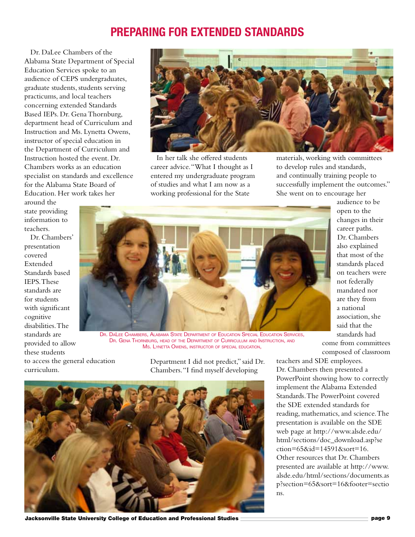### **Preparing for Extended Standards**

Dr. DaLee Chambers of the Alabama State Department of Special Education Services spoke to an audience of CEPS undergraduates, graduate students, students serving practicums, and local teachers concerning extended Standards Based IEPs. Dr. Gena Thornburg, department head of Curriculum and Instruction and Ms. Lynetta Owens, instructor of special education in the Department of Curriculum and Instruction hosted the event. Dr. Chambers works as an education specialist on standards and excellence for the Alabama State Board of Education. Her work takes her

around the state providing information to teachers.

Dr. Chambers' presentation covered Extended Standards based IEPS. These standards are for students with significant cognitive disabilities. The standards are provided to allow



In her talk she offered students career advice. "What I thought as I entered my undergraduate program of studies and what I am now as a working professional for the State

Dr. DaLee Chambers, Alabama State Department of Education Special Education Services, DR. GENA THORNBURG, HEAD OF THE DEPARTMENT OF CURRICULUM AND INSTRUCTION, AND Ms. LYNETTA OWENS, INSTRUCTOR OF SPECIAL EDUCATION.

She went on to encourage her audience to be open to the changes in their career paths. Dr. Chambers also explained that most of the standards placed on teachers were not federally mandated nor are they from a national association, she said that the standards had

materials, working with committees to develop rules and standards, and continually training people to successfully implement the outcomes."

> come from committees composed of classroom

teachers and SDE employees. Dr. Chambers then presented a PowerPoint showing how to correctly implement the Alabama Extended Standards. The PowerPoint covered the SDE extended standards for reading, mathematics, and science. The presentation is available on the SDE web page at http://www.alsde.edu/ html/sections/doc\_download.asp?se ction=65&id=14591&sort=16. Other resources that Dr. Chambers presented are available at http://www. alsde.edu/html/sections/documents.as p?section=65&sort=16&footer=sectio ns.

these students to access the general education curriculum.

Department I did not predict," said Dr. Chambers. "I find myself developing



Jacksonville State University College of Education and Professional Studies page 9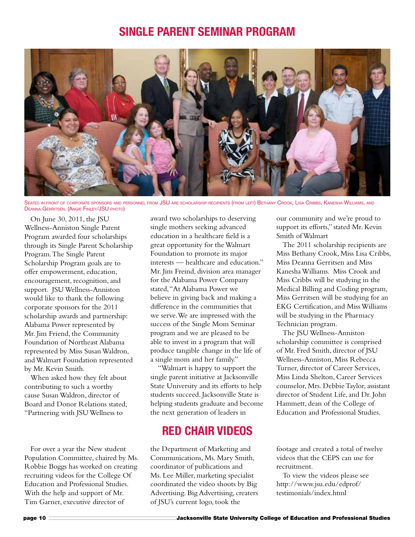### **Single Parent seminar program**



Seated in front of corporate sponsors and personnel from JSU are scholarship recipients (from left) Bethany Crook, Lisa Cribbs, Kanesha Williams, and Deanna Gerritsen. (Angie Finley/JSU photo)

On June 30, 2011, the JSU Wellness-Anniston Single Parent Program awarded four scholarships through its Single Parent Scholarship Program. The Single Parent Scholarship Program goals are to offer empowerment, education, encouragement, recognition, and support. JSU Wellness-Anniston would like to thank the following corporate sponsors for the 2011 scholarship awards and partnership: Alabama Power represented by Mr. Jim Friend, the Community Foundation of Northeast Alabama represented by Miss Susan Waldron, and Walmart Foundation represented by Mr. Kevin Smith.

When asked how they felt about contributing to such a worthy cause Susan Waldron, director of Board and Donor Relations stated, "Partnering with JSU Wellness to

For over a year the New student Population Committee, chaired by Ms. Robbie Boggs has worked on creating recruiting videos for the College Of Education and Professional Studies. With the help and support of Mr. Tim Garner, executive director of

award two scholarships to deserving single mothers seeking advanced education in a healthcare field is a great opportunity for the Walmart Foundation to promote its major interests — healthcare and education." Mr. Jim Freind, division area manager for the Alabama Power Company stated, "At Alabama Power we believe in giving back and making a difference in the communities that we serve. We are impressed with the success of the Single Mom Seminar program and we are pleased to be able to invest in a program that will produce tangible change in the life of a single mom and her family."

 "Walmart is happy to support the single parent initiative at Jacksonville State University and its efforts to help students succeed. Jacksonville State is helping students graduate and become the next generation of leaders in

### **Red Chair Videos**

the Department of Marketing and Communications, Ms. Mary Smith, coordinator of publications and Ms. Lee Miller, marketing specialist coordinated the video shoots by Big Advertising. Big Advertising, creaters of JSU's current logo, took the

our community and we're proud to support its efforts," stated Mr. Kevin Smith of Walmart

The 2011 scholarship recipients are Miss Bethany Crook, Miss Lisa Cribbs, Miss Deanna Gerritsen and Miss Kanesha Williams. Miss Crook and Miss Cribbs will be studying in the Medical Billing and Coding program, Miss Gerritsen will be studying for an EKG Certification, and Miss Williams will be studying in the Pharmacy Technician program.

The JSU Wellness-Anniston scholarship committee is comprised of Mr. Fred Smith, director of JSU Wellness-Anniston, Miss Rebecca Turner, director of Career Services, Miss Linda Shelton, Career Services counselor, Mrs. Debbie Taylor, assistant director of Student Life, and Dr. John Hammett, dean of the College of Education and Professional Studies.

footage and created a total of twelve videos that the CEPS can use for recruitment.

To view the videos please see http://www.jsu.edu/edprof/ testimonials/index.html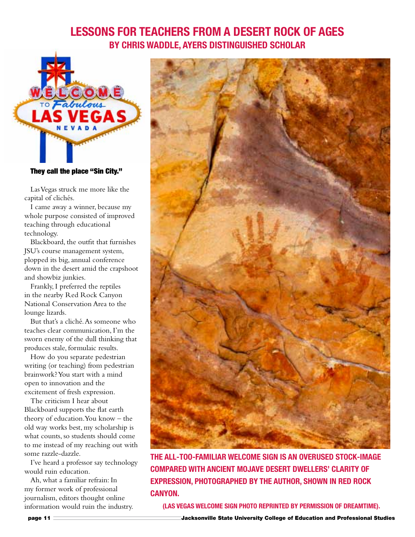### **Lessons for teachers from a Desert Rock of Ages By Chris Waddle, Ayers Distinguished Scholar**



They call the place "Sin City."

Las Vegas struck me more like the capital of clichés.

I came away a winner, because my whole purpose consisted of improved teaching through educational technology.

Blackboard, the outfit that furnishes JSU's course management system, plopped its big, annual conference down in the desert amid the crapshoot and showbiz junkies.

Frankly, I preferred the reptiles in the nearby Red Rock Canyon National Conservation Area to the lounge lizards.

But that's a cliché. As someone who teaches clear communication, I'm the sworn enemy of the dull thinking that produces stale, formulaic results.

How do you separate pedestrian writing (or teaching) from pedestrian brainwork? You start with a mind open to innovation and the excitement of fresh expression.

The criticism I hear about Blackboard supports the flat earth theory of education. You know – the old way works best, my scholarship is what counts, so students should come to me instead of my reaching out with some razzle-dazzle.

I've heard a professor say technology would ruin education.

Ah, what a familiar refrain: In my former work of professional journalism, editors thought online information would ruin the industry.



**The all-too-familiar welcome sign is an overused stock-image compared with ancient Mojave Desert dwellers' clarity of expression, photographed by the author, shown in Red Rock Canyon.**

**(Las Vegas welcome sign photo reprinted by permission of Dreamtime).**